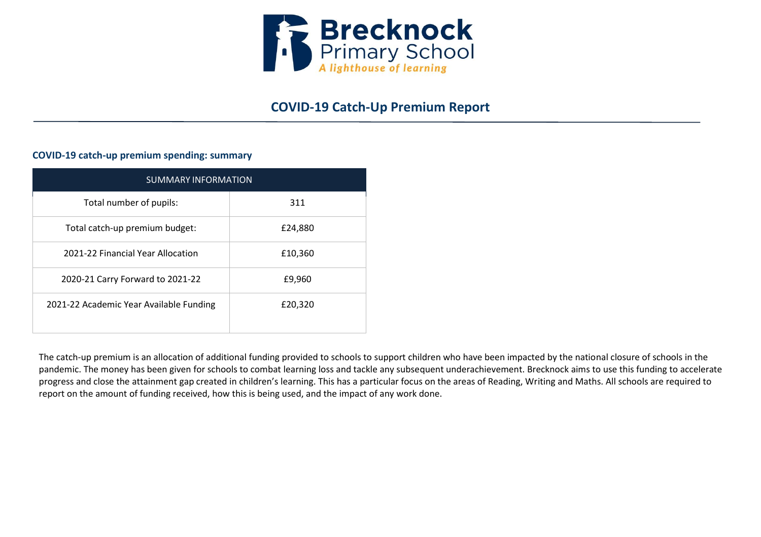

# **COVID-19 Catch-Up Premium Report**

# **COVID-19 catch-up premium spending: summary**

| <b>SUMMARY INFORMATION</b>              |         |  |  |
|-----------------------------------------|---------|--|--|
| Total number of pupils:                 | 311     |  |  |
| Total catch-up premium budget:          | £24,880 |  |  |
| 2021-22 Financial Year Allocation       | £10,360 |  |  |
| 2020-21 Carry Forward to 2021-22        | £9,960  |  |  |
| 2021-22 Academic Year Available Funding | £20,320 |  |  |

The catch-up premium is an allocation of additional funding provided to schools to support children who have been impacted by the national closure of schools in the pandemic. The money has been given for schools to combat learning loss and tackle any subsequent underachievement. Brecknock aims to use this funding to accelerate progress and close the attainment gap created in children's learning. This has a particular focus on the areas of Reading, Writing and Maths. All schools are required to report on the amount of funding received, how this is being used, and the impact of any work done.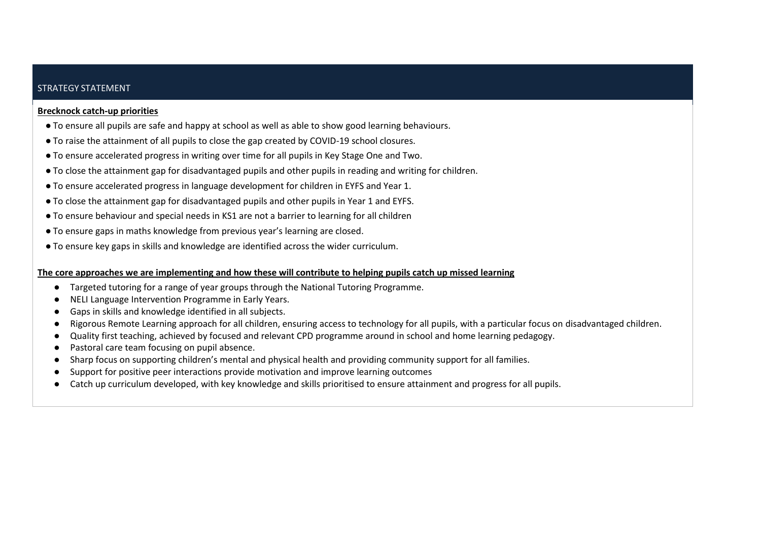## STRATEGY STATEMENT

#### **Brecknock catch-up priorities**

- To ensure all pupils are safe and happy at school as well as able to show good learning behaviours.
- To raise the attainment of all pupils to close the gap created by COVID-19 school closures.
- To ensure accelerated progress in writing over time for all pupils in Key Stage One and Two.
- To close the attainment gap for disadvantaged pupils and other pupils in reading and writing for children.
- To ensure accelerated progress in language development for children in EYFS and Year 1.
- To close the attainment gap for disadvantaged pupils and other pupils in Year 1 and EYFS.
- To ensure behaviour and special needs in KS1 are not a barrier to learning for all children
- To ensure gaps in maths knowledge from previous year's learning are closed.
- To ensure key gaps in skills and knowledge are identified across the wider curriculum.

### **The core approaches we are implementing and how these will contribute to helping pupils catch up missed learning**

- Targeted tutoring for a range of year groups through the National Tutoring Programme.
- NELI Language Intervention Programme in Early Years.
- Gaps in skills and knowledge identified in all subjects.
- Rigorous Remote Learning approach for all children, ensuring access to technology for all pupils, with a particular focus on disadvantaged children.
- Quality first teaching, achieved by focused and relevant CPD programme around in school and home learning pedagogy.
- Pastoral care team focusing on pupil absence.
- Sharp focus on supporting children's mental and physical health and providing community support for all families.
- Support for positive peer interactions provide motivation and improve learning outcomes
- Catch up curriculum developed, with key knowledge and skills prioritised to ensure attainment and progress for all pupils.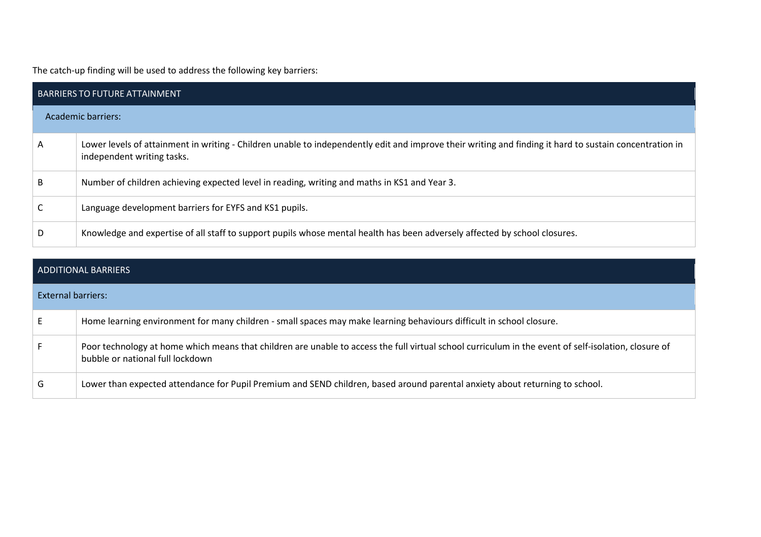The catch-up finding will be used to address the following key barriers:

| <b>BARRIERS TO FUTURE ATTAINMENT</b> |                                                                                                                                                                                       |  |  |  |
|--------------------------------------|---------------------------------------------------------------------------------------------------------------------------------------------------------------------------------------|--|--|--|
|                                      | Academic barriers:                                                                                                                                                                    |  |  |  |
| A                                    | Lower levels of attainment in writing - Children unable to independently edit and improve their writing and finding it hard to sustain concentration in<br>independent writing tasks. |  |  |  |
| B                                    | Number of children achieving expected level in reading, writing and maths in KS1 and Year 3.                                                                                          |  |  |  |
|                                      | Language development barriers for EYFS and KS1 pupils.                                                                                                                                |  |  |  |
| D                                    | Knowledge and expertise of all staff to support pupils whose mental health has been adversely affected by school closures.                                                            |  |  |  |

|                    | ADDITIONAL BARRIERS                                                                                                                                                                      |
|--------------------|------------------------------------------------------------------------------------------------------------------------------------------------------------------------------------------|
| External barriers: |                                                                                                                                                                                          |
|                    | Home learning environment for many children - small spaces may make learning behaviours difficult in school closure.                                                                     |
|                    | Poor technology at home which means that children are unable to access the full virtual school curriculum in the event of self-isolation, closure of<br>bubble or national full lockdown |
| G                  | Lower than expected attendance for Pupil Premium and SEND children, based around parental anxiety about returning to school.                                                             |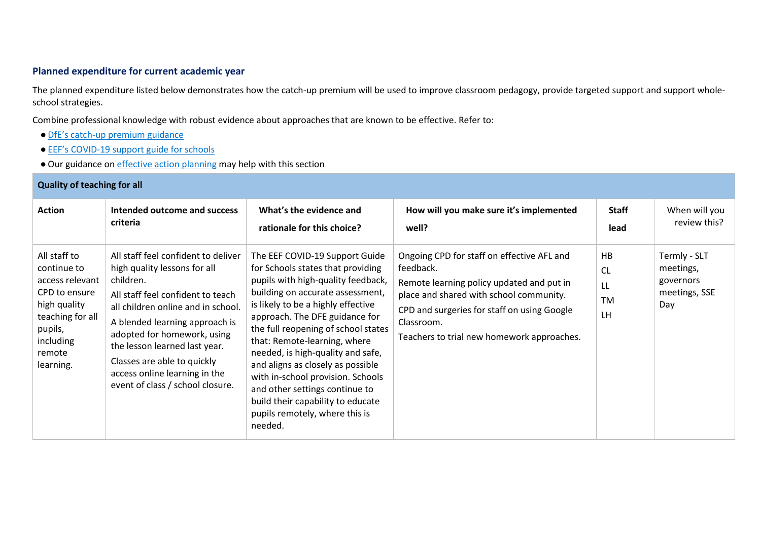# **Planned expenditure for current academic year**

The planned expenditure listed below demonstrates how the catch-up premium will be used to improve classroom pedagogy, provide targeted support and support wholeschool strategies.

Combine professional knowledge with robust evidence about approaches that are known to be effective. Refer to:

- DfE's catch[-up premium guidance](https://www.gov.uk/guidance/coronavirus-covid-19-catch-up-premium)
- EEF's COVID[-19 support guide for schools](https://educationendowmentfoundation.org.uk/covid-19-resources/national-tutoring-programme/covid-19-support-guide-for-schools/)
- Our guidance on *effective action planning* may help with this section

| <b>Quality of teaching for all</b>                                                                                                                 |                                                                                                                                                                                                                                                                                                                                                                   |                                                                                                                                                                                                                                                                                                                                                                                                                                                                                                                                 |                                                                                                                                                                                                                                                            |                                          |                                                                |
|----------------------------------------------------------------------------------------------------------------------------------------------------|-------------------------------------------------------------------------------------------------------------------------------------------------------------------------------------------------------------------------------------------------------------------------------------------------------------------------------------------------------------------|---------------------------------------------------------------------------------------------------------------------------------------------------------------------------------------------------------------------------------------------------------------------------------------------------------------------------------------------------------------------------------------------------------------------------------------------------------------------------------------------------------------------------------|------------------------------------------------------------------------------------------------------------------------------------------------------------------------------------------------------------------------------------------------------------|------------------------------------------|----------------------------------------------------------------|
| <b>Action</b>                                                                                                                                      | Intended outcome and success<br>criteria                                                                                                                                                                                                                                                                                                                          | What's the evidence and<br>rationale for this choice?                                                                                                                                                                                                                                                                                                                                                                                                                                                                           | How will you make sure it's implemented<br>well?                                                                                                                                                                                                           | <b>Staff</b><br>lead                     | When will you<br>review this?                                  |
| All staff to<br>continue to<br>access relevant<br>CPD to ensure<br>high quality<br>teaching for all<br>pupils,<br>including<br>remote<br>learning. | All staff feel confident to deliver<br>high quality lessons for all<br>children.<br>All staff feel confident to teach<br>all children online and in school.<br>A blended learning approach is<br>adopted for homework, using<br>the lesson learned last year.<br>Classes are able to quickly<br>access online learning in the<br>event of class / school closure. | The EEF COVID-19 Support Guide<br>for Schools states that providing<br>pupils with high-quality feedback,<br>building on accurate assessment,<br>is likely to be a highly effective<br>approach. The DFE guidance for<br>the full reopening of school states<br>that: Remote-learning, where<br>needed, is high-quality and safe,<br>and aligns as closely as possible<br>with in-school provision. Schools<br>and other settings continue to<br>build their capability to educate<br>pupils remotely, where this is<br>needed. | Ongoing CPD for staff on effective AFL and<br>feedback.<br>Remote learning policy updated and put in<br>place and shared with school community.<br>CPD and surgeries for staff on using Google<br>Classroom.<br>Teachers to trial new homework approaches. | HB<br><b>CL</b><br>LL<br><b>TM</b><br>LH | Termly - SLT<br>meetings,<br>governors<br>meetings, SSE<br>Day |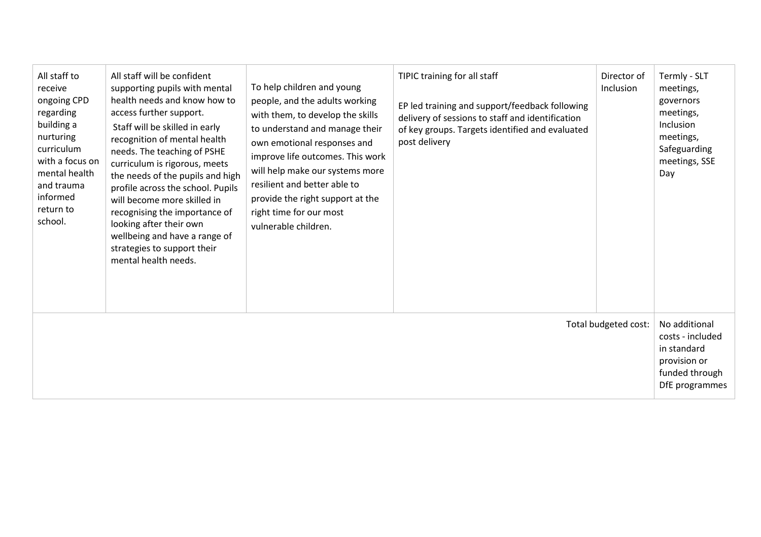| All staff to<br>receive<br>ongoing CPD<br>regarding<br>building a<br>nurturing<br>curriculum<br>with a focus on<br>mental health<br>and trauma<br>informed<br>return to<br>school. | All staff will be confident<br>supporting pupils with mental<br>health needs and know how to<br>access further support.<br>Staff will be skilled in early<br>recognition of mental health<br>needs. The teaching of PSHE<br>curriculum is rigorous, meets<br>the needs of the pupils and high<br>profile across the school. Pupils<br>will become more skilled in<br>recognising the importance of<br>looking after their own<br>wellbeing and have a range of<br>strategies to support their<br>mental health needs. | To help children and young<br>people, and the adults working<br>with them, to develop the skills<br>to understand and manage their<br>own emotional responses and<br>improve life outcomes. This work<br>will help make our systems more<br>resilient and better able to<br>provide the right support at the<br>right time for our most<br>vulnerable children. | TIPIC training for all staff<br>EP led training and support/feedback following<br>delivery of sessions to staff and identification<br>of key groups. Targets identified and evaluated<br>post delivery | Director of<br>Inclusion | Termly - SLT<br>meetings,<br>governors<br>meetings,<br>Inclusion<br>meetings,<br>Safeguarding<br>meetings, SSE<br>Day |
|------------------------------------------------------------------------------------------------------------------------------------------------------------------------------------|-----------------------------------------------------------------------------------------------------------------------------------------------------------------------------------------------------------------------------------------------------------------------------------------------------------------------------------------------------------------------------------------------------------------------------------------------------------------------------------------------------------------------|-----------------------------------------------------------------------------------------------------------------------------------------------------------------------------------------------------------------------------------------------------------------------------------------------------------------------------------------------------------------|--------------------------------------------------------------------------------------------------------------------------------------------------------------------------------------------------------|--------------------------|-----------------------------------------------------------------------------------------------------------------------|
| Total budgeted cost:                                                                                                                                                               |                                                                                                                                                                                                                                                                                                                                                                                                                                                                                                                       |                                                                                                                                                                                                                                                                                                                                                                 |                                                                                                                                                                                                        |                          | No additional<br>costs - included<br>in standard<br>provision or<br>funded through<br>DfE programmes                  |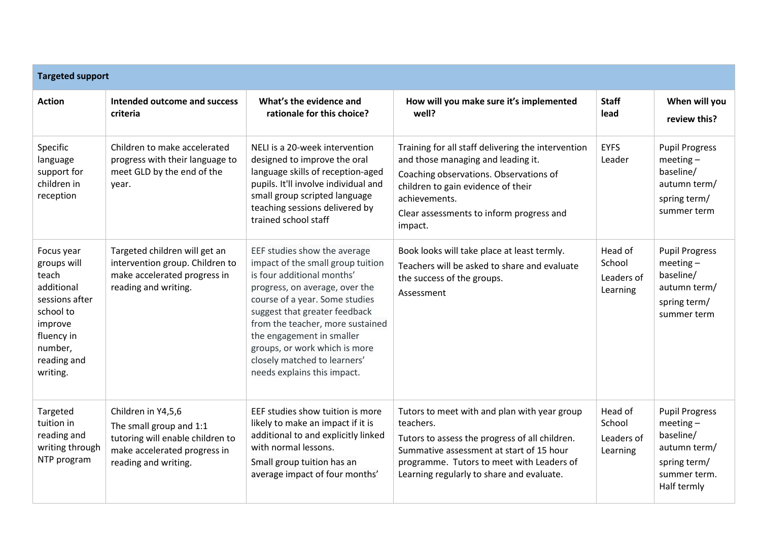| <b>Targeted support</b>                                                                                                                        |                                                                                                                                           |                                                                                                                                                                                                                                                                                                                                                                       |                                                                                                                                                                                                                                                   |                                             |                                                                                                                 |
|------------------------------------------------------------------------------------------------------------------------------------------------|-------------------------------------------------------------------------------------------------------------------------------------------|-----------------------------------------------------------------------------------------------------------------------------------------------------------------------------------------------------------------------------------------------------------------------------------------------------------------------------------------------------------------------|---------------------------------------------------------------------------------------------------------------------------------------------------------------------------------------------------------------------------------------------------|---------------------------------------------|-----------------------------------------------------------------------------------------------------------------|
| <b>Action</b>                                                                                                                                  | Intended outcome and success<br>criteria                                                                                                  | What's the evidence and<br>rationale for this choice?                                                                                                                                                                                                                                                                                                                 | How will you make sure it's implemented<br>well?                                                                                                                                                                                                  | <b>Staff</b><br>lead                        | When will you<br>review this?                                                                                   |
| Specific<br>language<br>support for<br>children in<br>reception                                                                                | Children to make accelerated<br>progress with their language to<br>meet GLD by the end of the<br>year.                                    | NELI is a 20-week intervention<br>designed to improve the oral<br>language skills of reception-aged<br>pupils. It'll involve individual and<br>small group scripted language<br>teaching sessions delivered by<br>trained school staff                                                                                                                                | Training for all staff delivering the intervention<br>and those managing and leading it.<br>Coaching observations. Observations of<br>children to gain evidence of their<br>achievements.<br>Clear assessments to inform progress and<br>impact.  | <b>EYFS</b><br>Leader                       | <b>Pupil Progress</b><br>$meeting-$<br>baseline/<br>autumn term/<br>spring term/<br>summer term                 |
| Focus year<br>groups will<br>teach<br>additional<br>sessions after<br>school to<br>improve<br>fluency in<br>number,<br>reading and<br>writing. | Targeted children will get an<br>intervention group. Children to<br>make accelerated progress in<br>reading and writing.                  | EEF studies show the average<br>impact of the small group tuition<br>is four additional months'<br>progress, on average, over the<br>course of a year. Some studies<br>suggest that greater feedback<br>from the teacher, more sustained<br>the engagement in smaller<br>groups, or work which is more<br>closely matched to learners'<br>needs explains this impact. | Book looks will take place at least termly.<br>Teachers will be asked to share and evaluate<br>the success of the groups.<br>Assessment                                                                                                           | Head of<br>School<br>Leaders of<br>Learning | <b>Pupil Progress</b><br>$meeting-$<br>baseline/<br>autumn term/<br>spring term/<br>summer term                 |
| Targeted<br>tuition in<br>reading and<br>writing through<br>NTP program                                                                        | Children in Y4,5,6<br>The small group and 1:1<br>tutoring will enable children to<br>make accelerated progress in<br>reading and writing. | EEF studies show tuition is more<br>likely to make an impact if it is<br>additional to and explicitly linked<br>with normal lessons.<br>Small group tuition has an<br>average impact of four months'                                                                                                                                                                  | Tutors to meet with and plan with year group<br>teachers.<br>Tutors to assess the progress of all children.<br>Summative assessment at start of 15 hour<br>programme. Tutors to meet with Leaders of<br>Learning regularly to share and evaluate. | Head of<br>School<br>Leaders of<br>Learning | <b>Pupil Progress</b><br>$meeting-$<br>baseline/<br>autumn term/<br>spring term/<br>summer term.<br>Half termly |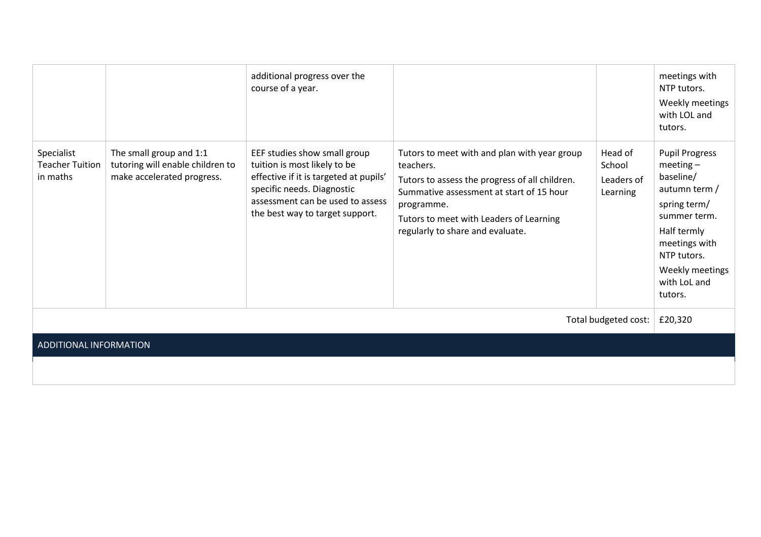|                                                  |                                                                                           | additional progress over the<br>course of a year.                                                                                                                                                           |                                                                                                                                                                                                                                                      |                                             | meetings with<br>NTP tutors.<br>Weekly meetings<br>with LOL and<br>tutors.                                                                                                                     |
|--------------------------------------------------|-------------------------------------------------------------------------------------------|-------------------------------------------------------------------------------------------------------------------------------------------------------------------------------------------------------------|------------------------------------------------------------------------------------------------------------------------------------------------------------------------------------------------------------------------------------------------------|---------------------------------------------|------------------------------------------------------------------------------------------------------------------------------------------------------------------------------------------------|
| Specialist<br><b>Teacher Tuition</b><br>in maths | The small group and 1:1<br>tutoring will enable children to<br>make accelerated progress. | EEF studies show small group<br>tuition is most likely to be<br>effective if it is targeted at pupils'<br>specific needs. Diagnostic<br>assessment can be used to assess<br>the best way to target support. | Tutors to meet with and plan with year group<br>teachers.<br>Tutors to assess the progress of all children.<br>Summative assessment at start of 15 hour<br>programme.<br>Tutors to meet with Leaders of Learning<br>regularly to share and evaluate. | Head of<br>School<br>Leaders of<br>Learning | <b>Pupil Progress</b><br>$meeting-$<br>baseline/<br>autumn term /<br>spring term/<br>summer term.<br>Half termly<br>meetings with<br>NTP tutors.<br>Weekly meetings<br>with LoL and<br>tutors. |
| Total budgeted cost:                             |                                                                                           |                                                                                                                                                                                                             |                                                                                                                                                                                                                                                      |                                             | £20,320                                                                                                                                                                                        |
| ADDITIONAL INFORMATION                           |                                                                                           |                                                                                                                                                                                                             |                                                                                                                                                                                                                                                      |                                             |                                                                                                                                                                                                |
|                                                  |                                                                                           |                                                                                                                                                                                                             |                                                                                                                                                                                                                                                      |                                             |                                                                                                                                                                                                |